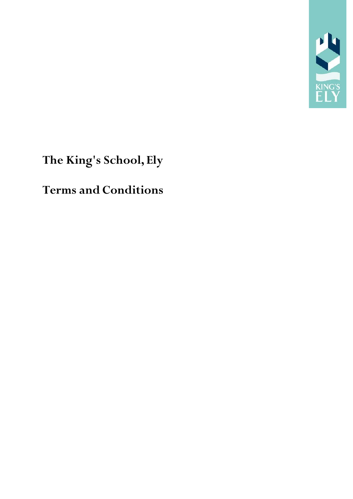

# **The King's School, Ely**

## **Terms and Conditions**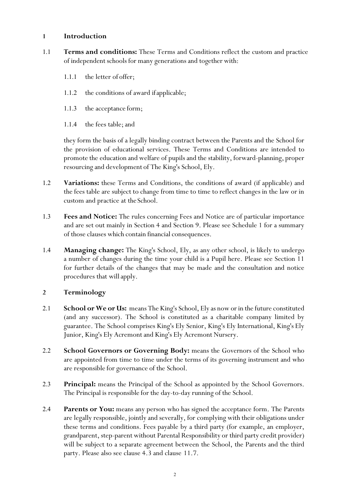#### **1 Introduction**

- 1.1 **Terms and conditions:** These Terms and Conditions reflect the custom and practice of independent schools for many generations and together with:
	- 1.1.1 the letter of offer;
	- 1.1.2 the conditions of award ifapplicable;
	- 1.1.3 the acceptance form;
	- 1.1.4 the fees table; and

they form the basis of a legally binding contract between the Parents and the School for the provision of educational services. These Terms and Conditions are intended to promote the education and welfare of pupils and the stability, forward-planning, proper resourcing and development of The King's School, Ely.

- 1.2 **Variations:** these Terms and Conditions, the conditions of award (if applicable) and the fees table are subject to change from time to time to reflect changes in the law or in custom and practice at the School.
- 1.3 **Fees and Notice:** The rules concerning Fees and Notice are of particular importance and are set out mainly in Section 4 and Section 9. Please see Schedule 1 for a summary of those clauses which contain financial consequences.
- 1.4 **Managing change:** The King's School, Ely, as any other school, is likely to undergo a number of changes during the time your child is a Pupil here. Please see Section 11 for further details of the changes that may be made and the consultation and notice procedures that willapply.

#### **2 Terminology**

- 2.1 **School or We or Us:** means The King's School, Ely as now or in the future constituted (and any successor). The School is constituted as a charitable company limited by guarantee. The School comprises King's Ely Senior, King's Ely International, King's Ely Junior, King's Ely Acremontand King's Ely Acremont Nursery.
- 2.2 **School Governors or Governing Body:** means the Governors of the School who are appointed from time to time under the terms of its governing instrument and who are responsible for governance of the School.
- 2.3 **Principal:** means the Principal of the School as appointed by the School Governors. The Principal is responsible for the day-to-day running of the School.
- 2.4 **Parents or You:** means any person who has signed the acceptance form. The Parents are legally responsible, jointly and severally, for complying with their obligations under these terms and conditions. Fees payable by a third party (for example, an employer, grandparent, step-parent without Parental Responsibility or third party credit provider) will be subject to a separate agreement between the School, the Parents and the third party. Please also see clause 4.3 and clause 11.7.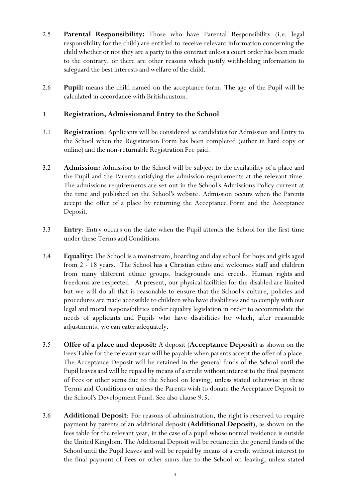- 2.5 **Parental Responsibility:** Those who have Parental Responsibility (i.e. legal responsibility for the child) are entitled to receive relevant information concerning the child whether or not they are a party to this contract unless a court order has been made to the contrary, or there are other reasons which justify withholding information to safeguard the best interests and welfare of the child.
- 2.6 **Pupil:** means the child named on the acceptance form. The age of the Pupil will be calculated in accordance with Britishcustom.

#### **3 Registration, Admissionand Entry to the School**

- 3.1 **Registration**: Applicants will be considered as candidates for Admission and Entry to the School when the Registration Form has been completed (either in hard copy or online) and the non-returnable Registration Fee paid.
- 3.2 **Admission**: Admission to the School will be subject to the availability of a place and the Pupil and the Parents satisfying the admission requirements at the relevant time. The admissions requirements are set out in the School's Admissions Policy current at the time and published on the School's website. Admission occurs when the Parents accept the offer of a place by returning the Acceptance Form and the Acceptance Deposit.
- 3.3 **Entry**: Entry occurs on the date when the Pupil attends the School for the first time under these Terms and Conditions.
- 3.4 **Equality:** The School is a mainstream, boarding and day school for boys and girls aged from 2 - 18 years. The School has a Christian ethos and welcomes staff and children from many different ethnic groups, backgrounds and creeds. Human rights and freedoms are respected. At present, our physical facilities for the disabled are limited but we will do all that is reasonable to ensure that the School's culture, policies and procedures are made accessible to children who have disabilities and to comply with our legal and moral responsibilities under equality legislation in order to accommodate the needs of applicants and Pupils who have disabilities for which, after reasonable adjustments, we can cateradequately.
- 3.5 **Offer of a place and deposit:** A deposit (**Acceptance Deposit**) as shown on the Fees Table for the relevant year will be payable when parents accept the offer of a place. The Acceptance Deposit will be retained in the general funds of the School until the Pupil leaves and will be repaid by means of a credit without interest to the final payment of Fees or other sums due to the School on leaving, unless stated otherwise in these Terms and Conditions or unless the Parents wish to donate the Acceptance Deposit to the School's Development Fund. See also clause 9.5.
- 3.6 **Additional Deposit**: For reasons of administration, the right is reserved to require payment by parents of an additional deposit (**Additional Deposit**), as shown on the fees table for the relevant year, in the case of a pupil whose normal residence is outside the United Kingdom. The Additional Deposit will be retainedin the general funds of the School until the Pupil leaves and will be repaid by means of a credit without interest to the final payment of Fees or other sums due to the School on leaving, unless stated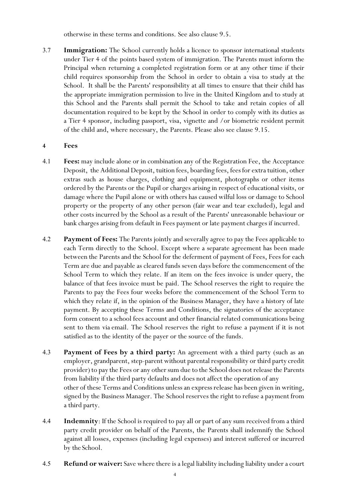otherwise in these terms and conditions. See also clause 9.5.

3.7 **Immigration:** The School currently holds a licence to sponsor international students under Tier 4 of the points based system of immigration. The Parents must inform the Principal when returning a completed registration form or at any other time if their child requires sponsorship from the School in order to obtain a visa to study at the School. It shall be the Parents' responsibility at all times to ensure that their child has the appropriate immigration permission to live in the United Kingdom and to study at this School and the Parents shall permit the School to take and retain copies of all documentation required to be kept by the School in order to comply with its duties as a Tier 4 sponsor, including passport, visa, vignette and /or biometric resident permit of the child and, where necessary, the Parents. Please also see clause 9.15.

#### **4 Fees**

- 4.1 **Fees:** may include alone or in combination any of the Registration Fee, the Acceptance Deposit, the Additional Deposit, tuition fees, boarding fees, fees for extra tuition, other extras such as house charges, clothing and equipment, photographs or other items ordered by the Parents or the Pupil or charges arising in respect of educational visits, or damage where the Pupil alone or with others has caused wilful loss or damage to School property or the property of any other person (fair wear and tear excluded), legal and other costs incurred by the School as a result of the Parents' unreasonable behaviour or bank charges arising from default in Fees payment or late payment charges if incurred.
- 4.2 **Payment of Fees:** The Parents jointly and severally agree to pay the Fees applicable to each Term directly to the School. Except where a separate agreement has been made between the Parents and the School for the deferment of payment of Fees, Fees for each Term are due and payable as cleared funds seven days before the commencement of the School Term to which they relate. If an item on the fees invoice is under query, the balance of that fees invoice must be paid. The School reserves the right to require the Parents to pay the Fees four weeks before the commencement of the School Term to which they relate if, in the opinion of the Business Manager, they have a history of late payment. By accepting these Terms and Conditions, the signatories of the acceptance form consent to a school fees account and other financial related communications being sent to them via email. The School reserves the right to refuse a payment if it is not satisfied as to the identity of the payer or the source of the funds.
- 4.3 **Payment of Fees by a third party:** An agreement with a third party (such as an employer, grandparent, step-parent without parental responsibility or third party credit provider) to pay the Fees or any other sum due to the School does not release the Parents from liability if the third party defaults and does not affect the operation of any other of these Terms and Conditions unless an expressrelease has been given in writing, signed by the Business Manager. The School reserves the right to refuse a payment from a third party.
- 4.4 **Indemnity**: If the School is required to pay all or part of any sum received from a third party credit provider on behalf of the Parents, the Parents shall indemnify the School against all losses, expenses (including legal expenses) and interest suffered or incurred by the School.
- 4.5 **Refund or waiver:** Save where there is a legal liability including liability under a court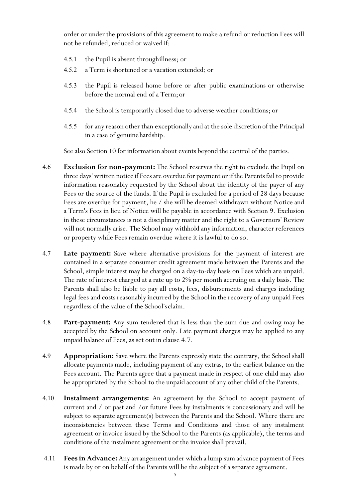order or under the provisions of this agreement to make a refund or reduction Fees will not be refunded, reduced or waived if:

- 4.5.1 the Pupil is absent throughillness; or
- 4.5.2 a Term is shortened or a vacation extended; or
- 4.5.3 the Pupil is released home before or after public examinations or otherwise before the normal end of a Term;or
- 4.5.4 the School is temporarily closed due to adverse weather conditions; or
- 4.5.5 for any reason other than exceptionally and at the sole discretion of the Principal in a case of genuine hardship.

See also Section 10 for information about events beyond the control of the parties.

- 4.6 **Exclusion for non-payment:** The School reserves the right to exclude the Pupil on three days' written notice if Fees are overdue for payment or if the Parents fail to provide information reasonably requested by the School about the identity of the payer of any Fees or the source of the funds. If the Pupil is excluded for a period of 28 days because Fees are overdue for payment, he / she will be deemed withdrawn without Notice and a Term's Fees in lieu of Notice will be payable in accordance with Section 9. Exclusion in these circumstances is not a disciplinary matter and the right to a Governors' Review will not normally arise. The School may withhold any information, character references or property while Fees remain overdue where it is lawful to do so.
- 4.7 **Late payment:** Save where alternative provisions for the payment of interest are contained in a separate consumer credit agreement made between the Parents and the School, simple interest may be charged on a day-to-day basis on Fees which are unpaid. The rate of interest charged at a rate up to 2% per month accruing on a daily basis. The Parents shall also be liable to pay all costs, fees, disbursements and charges including legal fees and costs reasonably incurred by the School in the recovery of any unpaid Fees regardless of the value of the School'sclaim.
- 4.8 **Part-payment:** Any sum tendered that is less than the sum due and owing may be accepted by the School on account only. Late payment charges may be applied to any unpaid balance of Fees, as set out in clause 4.7.
- 4.9 **Appropriation:** Save where the Parents expressly state the contrary, the School shall allocate payments made, including payment of any extras, to the earliest balance on the Fees account. The Parents agree that a payment made in respect of one child may also be appropriated by the School to the unpaid account of any other child of the Parents.
- 4.10 **Instalment arrangements:** An agreement by the School to accept payment of current and / or past and /or future Fees by instalments is concessionary and will be subject to separate agreement(s) between the Parents and the School. Where there are inconsistencies between these Terms and Conditions and those of any instalment agreement or invoice issued by the School to the Parents (as applicable), the terms and conditions of the instalment agreement or the invoice shall prevail.
- 4.11 **Fees in Advance:** Any arrangement under which a lump sum advance payment of Fees is made by or on behalf of the Parents will be the subject of a separate agreement.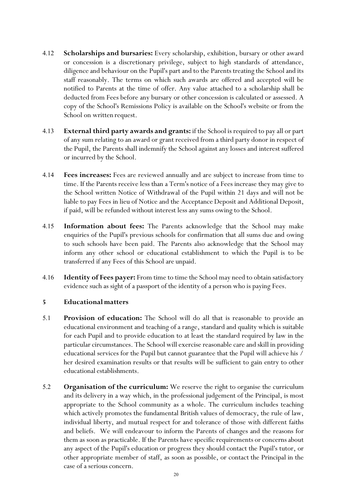- 4.12 **Scholarships and bursaries:** Every scholarship, exhibition, bursary or other award or concession is a discretionary privilege, subject to high standards of attendance, diligence and behaviour on the Pupil's part and to the Parents treating the School and its staff reasonably. The terms on which such awards are offered and accepted will be notified to Parents at the time of offer. Any value attached to a scholarship shall be deducted from Fees before any bursary or other concession is calculated or assessed. A copy of the School's Remissions Policy is available on the School's website or from the School on written request.
- 4.13 **External third party awards and grants:** if the School is required to pay all or part of any sum relating to an award or grant received from a third party donor in respect of the Pupil, the Parents shall indemnify the School against any losses and interest suffered or incurred by the School.
- 4.14 **Fees increases:** Fees are reviewed annually and are subject to increase from time to time. If the Parents receive less than a Term's notice of a Fees increase they may give to the School written Notice of Withdrawal of the Pupil within 21 days and will not be liable to pay Fees in lieu of Notice and the Acceptance Deposit and Additional Deposit, if paid, will be refunded without interest less any sums owing to the School.
- 4.15 **Information about fees:** The Parents acknowledge that the School may make enquiries of the Pupil's previous schools for confirmation that all sums due and owing to such schools have been paid. The Parents also acknowledge that the School may inform any other school or educational establishment to which the Pupil is to be transferred if any Fees of this School are unpaid.
- 4.16 **Identity of Fees payer:** From time to time the School may need to obtain satisfactory evidence such as sight of a passport of the identity of a person who is paying Fees.

#### **5 Educational matters**

- 5.1 **Provision of education:** The School will do all that is reasonable to provide an educational environment and teaching of a range, standard and quality which is suitable for each Pupil and to provide education to at least the standard required by law in the particular circumstances. The School will exercise reasonable care and skill in providing educational services for the Pupil but cannot guarantee that the Pupil will achieve his / her desired examination results or that results will be sufficient to gain entry to other educational establishments.
- 5.2 **Organisation of the curriculum:** We reserve the right to organise the curriculum and its delivery in a way which, in the professional judgement of the Principal, is most appropriate to the School community as a whole. The curriculum includes teaching which actively promotes the fundamental British values of democracy, the rule of law, individual liberty, and mutual respect for and tolerance of those with different faiths and beliefs. We will endeavour to inform the Parents of changes and the reasons for them as soon as practicable. If the Parents have specific requirements or concerns about any aspect of the Pupil's education or progress they should contact the Pupil's tutor, or other appropriate member of staff, as soon as possible, or contact the Principal in the case of a serious concern.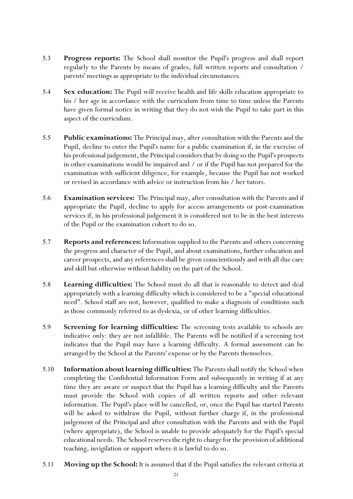- 5.3 **Progress reports:** The School shall monitor the Pupil's progress and shall report regularly to the Parents by means of grades, full written reports and consultation / parents' meetings as appropriate to the individual circumstances.
- 5.4 **Sex education:** The Pupil will receive health and life skills education appropriate to his / her age in accordance with the curriculum from time to time unless the Parents have given formal notice in writing that they do not wish the Pupil to take part in this aspect of the curriculum.
- 5.5 **Public examinations:** The Principal may, after consultation with the Parents and the Pupil, decline to enter the Pupil's name for a public examination if, in the exercise of his professional judgement, the Principal considers that by doing so the Pupil's prospects in other examinations would be impaired and / or if the Pupil has not prepared for the examination with sufficient diligence, for example, because the Pupil has not worked or revised in accordance with advice or instruction from his / her tutors.
- 5.6 **Examination services:** The Principal may, after consultation with the Parents and if appropriate the Pupil, decline to apply for access arrangements or post-examination services if, in his professional judgement it is considered not to be in the best interests of the Pupil or the examination cohort to do so.
- 5.7 **Reports and references:** Information supplied to the Parents and others concerning the progress and character of the Pupil, and about examinations, further education and career prospects, and any references shall be given conscientiously and with all due care and skill but otherwise without liability on the part of the School.
- 5.8 **Learning difficulties:** The School must do all that is reasonable to detect and deal appropriately with a learning difficulty which is considered to be a "special educational need". School staff are not, however, qualified to make a diagnosis of conditions such as those commonly referred to as dyslexia, or of other learning difficulties.
- 5.9 **Screening for learning difficulties:** The screening tests available to schools are indicative only: they are not infallible. The Parents will be notified if a screening test indicates that the Pupil may have a learning difficulty. A formal assessment can be arranged by the School at the Parents' expense or by the Parents themselves.
- 5.10 **Information about learning difficulties:** The Parents shall notify the School when completing the Confidential Information Form and subsequently in writing if at any time they are aware or suspect that the Pupil has a learning difficulty and the Parents must provide the School with copies of all written reports and other relevant information. The Pupil's place will be cancelled, or, once the Pupil has started Parents will be asked to withdraw the Pupil, without further charge if, in the professional judgement of the Principal and after consultation with the Parents and with the Pupil (where appropriate), the School is unable to provide adequately for the Pupil's special educational needs. The School reserves the right to charge for the provision of additional teaching, invigilation or support where it is lawful to do so.
- 5.11 **Moving up the School:** It is assumed that if the Pupil satisfies the relevant criteria at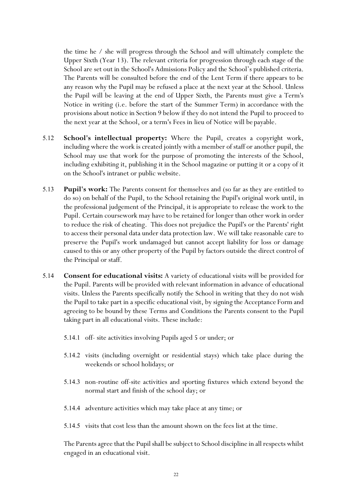the time he / she will progress through the School and will ultimately complete the Upper Sixth (Year 13). The relevant criteria for progression through each stage of the School are set out in the School's Admissions Policy and the School's published criteria. The Parents will be consulted before the end of the Lent Term if there appears to be any reason why the Pupil may be refused a place at the next year at the School. Unless the Pupil will be leaving at the end of Upper Sixth, the Parents must give a Term's Notice in writing (i.e. before the start of the Summer Term) in accordance with the provisions about notice in Section 9 below if they do not intend the Pupil to proceed to the next year at the School, or a term's Fees in lieu of Notice will be payable.

- 5.12 **School's intellectual property:** Where the Pupil, creates a copyright work, including where the work is created jointly with a member of staff or another pupil, the School may use that work for the purpose of promoting the interests of the School, including exhibiting it, publishing it in the School magazine or putting it or a copy of it on the School's intranet or public website.
- 5.13 **Pupil's work:** The Parents consent for themselves and (so far as they are entitled to do so) on behalf of the Pupil, to the School retaining the Pupil's original work until, in the professional judgement of the Principal, it is appropriate to release the work to the Pupil. Certain coursework may have to be retained for longer than other work in order to reduce the risk of cheating. This does not prejudice the Pupil's or the Parents' right to access their personal data under data protection law. We will take reasonable care to preserve the Pupil's work undamaged but cannot accept liability for loss or damage caused to this or any other property of the Pupil by factors outside the direct control of the Principal or staff.
- 5.14 **Consent for educational visits:** A variety of educational visits will be provided for the Pupil. Parents will be provided with relevant information in advance of educational visits. Unless the Parents specifically notify the School in writing that they do not wish the Pupil to take part in a specific educational visit, by signing the Acceptance Form and agreeing to be bound by these Terms and Conditions the Parents consent to the Pupil taking part in all educational visits. These include:
	- 5.14.1 off- site activities involving Pupils aged 5 or under; or
	- 5.14.2 visits (including overnight or residential stays) which take place during the weekends or school holidays; or
	- 5.14.3 non-routine off-site activities and sporting fixtures which extend beyond the normal start and finish of the school day; or
	- 5.14.4 adventure activities which may take place at any time; or
	- 5.14.5 visits that cost less than the amount shown on the fees list at the time.

The Parents agree that the Pupil shall be subject to School discipline in all respects whilst engaged in an educational visit.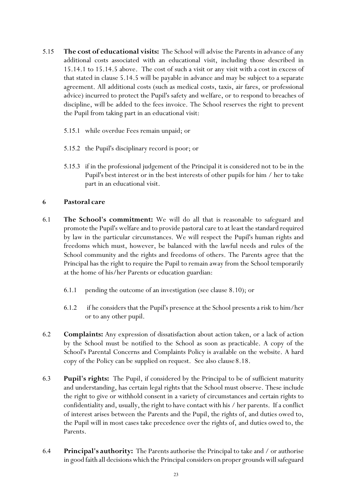- 5.15 **The cost of educational visits:** The School will advise the Parents in advance of any additional costs associated with an educational visit, including those described in 15.14.1 to 15.14.5 above. The cost of such a visit or any visit with a cost in excess of that stated in clause 5.14.5 will be payable in advance and may be subject to a separate agreement. All additional costs (such as medical costs, taxis, air fares, or professional advice) incurred to protect the Pupil's safety and welfare, or to respond to breaches of discipline, will be added to the fees invoice. The School reserves the right to prevent the Pupil from taking part in an educational visit:
	- 5.15.1 while overdue Fees remain unpaid; or
	- 5.15.2 the Pupil's disciplinary record is poor; or
	- 5.15.3 if in the professional judgement of the Principal it is considered not to be in the Pupil's best interest or in the best interests of other pupils for him / her to take part in an educational visit.

#### **6 Pastoral care**

- 6.1 **The School's commitment:** We will do all that is reasonable to safeguard and promote the Pupil's welfare and to provide pastoral care to at least the standard required by law in the particular circumstances. We will respect the Pupil's human rights and freedoms which must, however, be balanced with the lawful needs and rules of the School community and the rights and freedoms of others. The Parents agree that the Principal has the right to require the Pupil to remain away from the School temporarily at the home of his/her Parents or education guardian:
	- 6.1.1 pending the outcome of an investigation (see clause 8.10); or
	- 6.1.2 if he considers that the Pupil's presence at the School presents a risk to him/her or to any other pupil.
- 6.2 **Complaints:** Any expression of dissatisfaction about action taken, or a lack of action by the School must be notified to the School as soon as practicable. A copy of the School's Parental Concerns and Complaints Policy is available on the website. A hard copy of the Policy can be supplied on request. See also clause8.18.
- 6.3 **Pupil's rights:** The Pupil, if considered by the Principal to be of sufficient maturity and understanding, has certain legal rights that the School must observe. These include the right to give or withhold consent in a variety of circumstances and certain rights to confidentiality and, usually, the right to have contact with his / her parents. If a conflict of interest arises between the Parents and the Pupil, the rights of, and duties owed to, the Pupil will in most cases take precedence over the rights of, and duties owed to, the Parents.
- 6.4 **Principal's authority:** The Parents authorise the Principal to take and / or authorise in good faith all decisions which the Principal considers on proper grounds will safeguard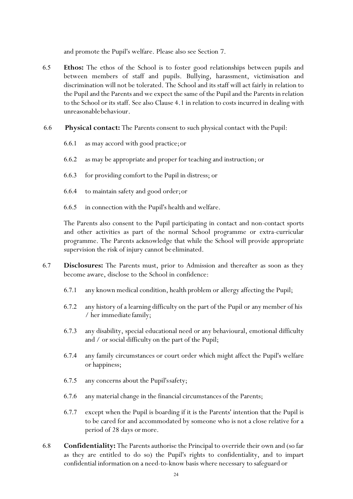and promote the Pupil's welfare. Please also see Section 7.

- 6.5 **Ethos:** The ethos of the School is to foster good relationships between pupils and between members of staff and pupils. Bullying, harassment, victimisation and discrimination will not be tolerated. The School and its staff will act fairly in relation to the Pupil and the Parents and we expect the same of the Pupil and the Parents in relation to the School or its staff. See also Clause 4.1 in relation to costs incurred in dealing with unreasonablebehaviour.
- 6.6 **Physical contact:** The Parents consent to such physical contact with the Pupil:
	- 6.6.1 as may accord with good practice;or
	- 6.6.2 as may be appropriate and proper for teaching and instruction; or
	- 6.6.3 for providing comfort to the Pupil in distress; or
	- 6.6.4 to maintain safety and good order;or
	- 6.6.5 in connection with the Pupil's health and welfare.

The Parents also consent to the Pupil participating in contact and non-contact sports and other activities as part of the normal School programme or extra-curricular programme. The Parents acknowledge that while the School will provide appropriate supervision the risk of injury cannot be eliminated.

- 6.7 **Disclosures:** The Parents must, prior to Admission and thereafter as soon as they become aware, disclose to the School in confidence:
	- 6.7.1 any known medical condition, health problem or allergy affecting the Pupil;
	- 6.7.2 any history of a learning difficulty on the part of the Pupil or any member of his / her immediate family;
	- 6.7.3 any disability, special educational need or any behavioural, emotional difficulty and / or social difficulty on the part of the Pupil;
	- 6.7.4 any family circumstances or court order which might affect the Pupil's welfare or happiness;
	- 6.7.5 any concerns about the Pupil'ssafety;
	- 6.7.6 any material change in the financial circumstances of the Parents;
	- 6.7.7 except when the Pupil is boarding if it is the Parents' intention that the Pupil is to be cared for and accommodated by someone who is not a close relative for a period of 28 days ormore.
- 6.8 **Confidentiality:** The Parents authorise the Principal to override their own and (so far as they are entitled to do so) the Pupil's rights to confidentiality, and to impart confidential information on a need-to-know basis where necessary to safeguard or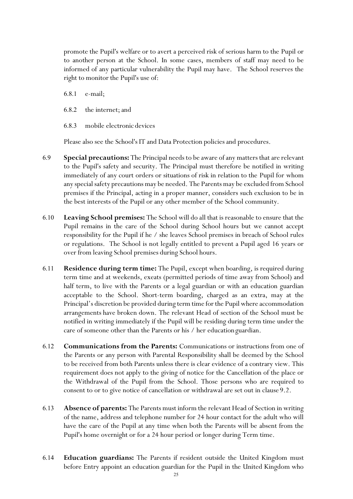promote the Pupil's welfare or to avert a perceived risk of serious harm to the Pupil or to another person at the School. In some cases, members of staff may need to be informed of any particular vulnerability the Pupil may have. The School reserves the right to monitor the Pupil's use of:

6.8.1 e-mail;

- 6.8.2 the internet;and
- 6.8.3 mobile electronic devices

Please also see the School's IT and Data Protection policies and procedures.

- 6.9 **Special precautions:** The Principal needs to be aware of any matters that are relevant to the Pupil's safety and security. The Principal must therefore be notified in writing immediately of any court orders or situations of risk in relation to the Pupil for whom any special safety precautions may be needed. The Parents may be excluded from School premises if the Principal, acting in a proper manner, considers such exclusion to be in the best interests of the Pupil or any other member of the School community.
- 6.10 **Leaving School premises:** The School will do all that is reasonable to ensure that the Pupil remains in the care of the School during School hours but we cannot accept responsibility for the Pupil if he / she leaves School premises in breach of School rules or regulations. The School is not legally entitled to prevent a Pupil aged 16 years or over from leaving School premises during School hours.
- 6.11 **Residence during term time:** The Pupil, except when boarding, is required during term time and at weekends, exeats (permitted periods of time away from School) and half term, to live with the Parents or a legal guardian or with an education guardian acceptable to the School. Short-term boarding, charged as an extra, may at the Principal's discretion be provided during term time for the Pupil where accommodation arrangements have broken down. The relevant Head of section of the School must be notified in writing immediately if the Pupil will be residing during term time under the care of someone other than the Parents or his / her educationguardian.
- 6.12 **Communications from the Parents:** Communications or instructions from one of the Parents or any person with Parental Responsibility shall be deemed by the School to be received from both Parents unless there is clear evidence of a contrary view. This requirement does not apply to the giving of notice for the Cancellation of the place or the Withdrawal of the Pupil from the School. Those persons who are required to consent to or to give notice of cancellation or withdrawal are set out in clause 9.2.
- 6.13 **Absence of parents:** The Parents must inform the relevant Head of Section in writing of the name, address and telephone number for 24 hour contact for the adult who will have the care of the Pupil at any time when both the Parents will be absent from the Pupil's home overnight or for a 24 hour period or longer during Term time.
- 6.14 **Education guardians:** The Parents if resident outside the United Kingdom must before Entry appoint an education guardian for the Pupil in the United Kingdom who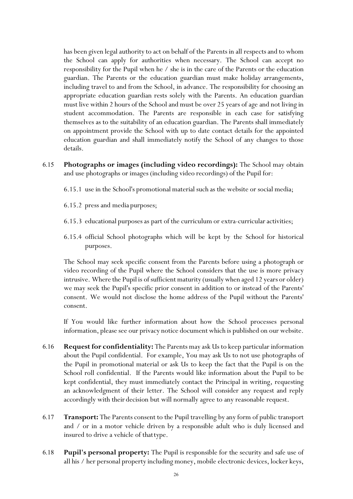has been given legal authority to act on behalf of the Parents in all respects and to whom the School can apply for authorities when necessary. The School can accept no responsibility for the Pupil when he / she is in the care of the Parents or the education guardian. The Parents or the education guardian must make holiday arrangements, including travel to and from the School, in advance. The responsibility for choosing an appropriate education guardian rests solely with the Parents. An education guardian must live within 2 hours of the School and must be over 25 years of age and not living in student accommodation. The Parents are responsible in each case for satisfying themselves as to the suitability of an education guardian. The Parents shall immediately on appointment provide the School with up to date contact details for the appointed education guardian and shall immediately notify the School of any changes to those details.

6.15 **Photographs or images (including video recordings):** The School may obtain and use photographs or images (including video recordings) of the Pupil for:

6.15.1 use in the School's promotional material such as the website or social media;

- 6.15.2 press and media purposes;
- 6.15.3 educational purposes as part of the curriculum or extra-curricularactivities;
- 6.15.4 official School photographs which will be kept by the School for historical purposes.

The School may seek specific consent from the Parents before using a photograph or video recording of the Pupil where the School considers that the use is more privacy intrusive. Where the Pupil is of sufficient maturity (usuallywhen aged 12 years or older) we may seek the Pupil's specific prior consent in addition to or instead of the Parents' consent. We would not disclose the home address of the Pupil without the Parents' consent.

If You would like further information about how the School processes personal information, please see our privacy notice document which is published on our website.

- 6.16 **Request for confidentiality:** The Parents may ask Us to keep particular information about the Pupil confidential. For example, You may ask Us to not use photographs of the Pupil in promotional material or ask Us to keep the fact that the Pupil is on the School roll confidential. If the Parents would like information about the Pupil to be kept confidential, they must immediately contact the Principal in writing, requesting an acknowledgment of their letter. The School will consider any request and reply accordingly with their decision but will normally agree to any reasonable request.
- 6.17 **Transport:** The Parents consent to the Pupil travelling by any form of public transport and / or in a motor vehicle driven by a responsible adult who is duly licensed and insured to drive a vehicle of thattype.
- 6.18 **Pupil's personal property:** The Pupil is responsible for the security and safe use of all his / her personal property including money, mobile electronic devices, locker keys,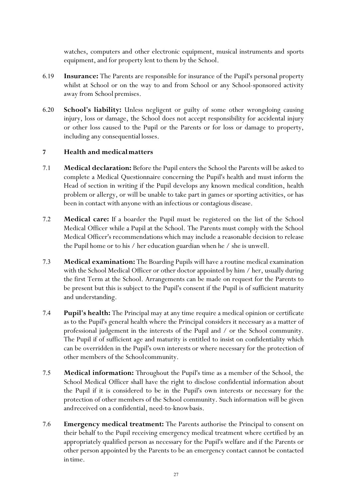watches, computers and other electronic equipment, musical instruments and sports equipment, and for property lent to them by the School.

- 6.19 **Insurance:** The Parents are responsible for insurance of the Pupil's personal property whilst at School or on the way to and from School or any School-sponsored activity away from School premises.
- 6.20 **School's liability:** Unless negligent or guilty of some other wrongdoing causing injury, loss or damage, the School does not accept responsibility for accidental injury or other loss caused to the Pupil or the Parents or for loss or damage to property, including any consequential losses.

#### **7 Health and medicalmatters**

- 7.1 **Medical declaration:** Before the Pupil enters the School the Parents will be asked to complete a Medical Questionnaire concerning the Pupil's health and must inform the Head of section in writing if the Pupil develops any known medical condition, health problem or allergy, or will be unable to take part in games or sporting activities, or has been in contact with anyone with an infectious or contagious disease.
- 7.2 **Medical care:** If a boarder the Pupil must be registered on the list of the School Medical Officer while a Pupil at the School. The Parents must comply with the School Medical Officer's recommendations which may include a reasonable decision to release the Pupil home or to his / her education guardian when he / she is unwell.
- 7.3 **Medical examination:** The Boarding Pupils will have a routine medical examination with the School Medical Officer or other doctor appointed by him / her, usually during the first Term at the School. Arrangements can be made on request for the Parents to be present but this is subject to the Pupil's consent if the Pupil is of sufficient maturity and understanding.
- 7.4 **Pupil's health:** The Principal may at any time require a medical opinion or certificate as to the Pupil's general health where the Principal considers it necessary as a matter of professional judgement in the interests of the Pupil and / or the School community. The Pupil if of sufficient age and maturity is entitled to insist on confidentiality which can be overridden in the Pupil's own interests or where necessary for the protection of other members of the Schoolcommunity.
- 7.5 **Medical information:** Throughout the Pupil's time as a member of the School, the School Medical Officer shall have the right to disclose confidential information about the Pupil if it is considered to be in the Pupil's own interests or necessary for the protection of other members of the School community. Such information will be given andreceived on a confidential, need-to-knowbasis.
- 7.6 **Emergency medical treatment:** The Parents authorise the Principal to consent on their behalf to the Pupil receiving emergency medical treatment where certified by an appropriately qualified person as necessary for the Pupil's welfare and if the Parents or other person appointed by the Parents to be an emergency contact cannot be contacted in time.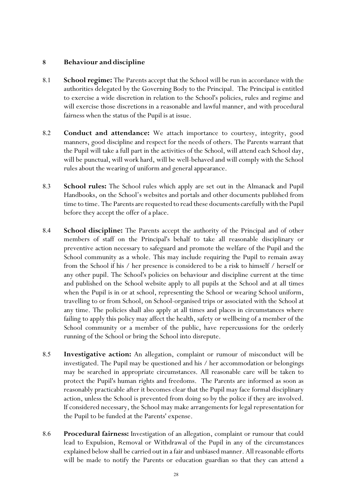#### **8 Behaviour anddiscipline**

- 8.1 **School regime:** The Parents accept that the School will be run in accordance with the authorities delegated by the Governing Body to the Principal. The Principal is entitled to exercise a wide discretion in relation to the School's policies, rules and regime and will exercise those discretions in a reasonable and lawful manner, and with procedural fairness when the status of the Pupil is at issue.
- 8.2 **Conduct and attendance:** We attach importance to courtesy, integrity, good manners, good discipline and respect for the needs of others. The Parents warrant that the Pupil will take a full part in the activities of the School, will attend each School day, will be punctual, will work hard, will be well-behaved and will comply with the School rules about the wearing of uniform and general appearance.
- 8.3 **School rules:** The School rules which apply are set out in the Almanack and Pupil Handbooks, on the School's websites and portals and other documents published from time to time. The Parents are requested to read these documents carefully with the Pupil before they accept the offer of a place.
- 8.4 **School discipline:** The Parents accept the authority of the Principal and of other members of staff on the Principal's behalf to take all reasonable disciplinary or preventive action necessary to safeguard and promote the welfare of the Pupil and the School community as a whole. This may include requiring the Pupil to remain away from the School if his / her presence is considered to be a risk to himself / herself or any other pupil. The School's policies on behaviour and discipline current at the time and published on the School website apply to all pupils at the School and at all times when the Pupil is in or at school, representing the School or wearing School uniform, travelling to or from School, on School-organised trips or associated with the School at any time. The policies shall also apply at all times and places in circumstances where failing to apply this policy may affect the health, safety or wellbeing of a member of the School community or a member of the public, have repercussions for the orderly running of the School or bring the School into disrepute.
- 8.5 **Investigative action:** An allegation, complaint or rumour of misconduct will be investigated. The Pupil may be questioned and his / her accommodation or belongings may be searched in appropriate circumstances. All reasonable care will be taken to protect the Pupil's human rights and freedoms. The Parents are informed as soon as reasonably practicable after it becomes clear that the Pupil may face formal disciplinary action, unless the School is prevented from doing so by the police if they are involved. If considered necessary, the School may make arrangements for legal representation for the Pupil to be funded at the Parents' expense.
- 8.6 **Procedural fairness:** Investigation of an allegation, complaint or rumour that could lead to Expulsion, Removal or Withdrawal of the Pupil in any of the circumstances explained below shall be carried out in a fair and unbiased manner. All reasonable efforts will be made to notify the Parents or education guardian so that they can attend a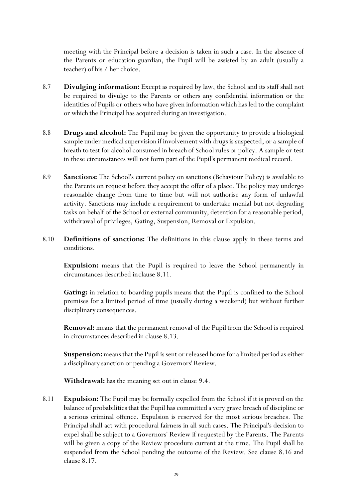meeting with the Principal before a decision is taken in such a case. In the absence of the Parents or education guardian, the Pupil will be assisted by an adult (usually a teacher) of his / her choice.

- 8.7 **Divulging information:** Except as required by law, the School and its staff shall not be required to divulge to the Parents or others any confidential information or the identities of Pupils or others who have given information which has led to the complaint or which the Principal has acquired during an investigation.
- 8.8 **Drugs and alcohol:** The Pupil may be given the opportunity to provide a biological sample under medical supervision if involvement with drugs is suspected, or a sample of breath to test for alcohol consumed in breach of School rules or policy. A sample or test in these circumstances will not form part of the Pupil's permanent medical record.
- 8.9 **Sanctions:** The School's current policy on sanctions (Behaviour Policy) is available to the Parents on request before they accept the offer of a place. The policy may undergo reasonable change from time to time but will not authorise any form of unlawful activity. Sanctions may include a requirement to undertake menial but not degrading tasks on behalf of the School or external community, detention for a reasonable period, withdrawal of privileges, Gating, Suspension, Removal or Expulsion.
- 8.10 **Definitions of sanctions:** The definitions in this clause apply in these terms and conditions.

**Expulsion:** means that the Pupil is required to leave the School permanently in circumstances described inclause 8.11.

Gating: in relation to boarding pupils means that the Pupil is confined to the School premises for a limited period of time (usually during a weekend) but without further disciplinary consequences.

**Removal:** means that the permanent removal of the Pupil from the School is required in circumstances described in clause 8.13.

**Suspension:** means that the Pupil is sent or released home for a limited period as either a disciplinary sanction or pending a Governors' Review.

**Withdrawal:** has the meaning set out in clause 9.4.

8.11 **Expulsion:** The Pupil may be formally expelled from the School if it is proved on the balance of probabilities that the Pupil has committed a very grave breach of discipline or a serious criminal offence. Expulsion is reserved for the most serious breaches. The Principal shall act with procedural fairness in all such cases. The Principal's decision to expel shall be subject to a Governors' Review if requested by the Parents. The Parents will be given a copy of the Review procedure current at the time. The Pupil shall be suspended from the School pending the outcome of the Review. See clause 8.16 and clause 8.17.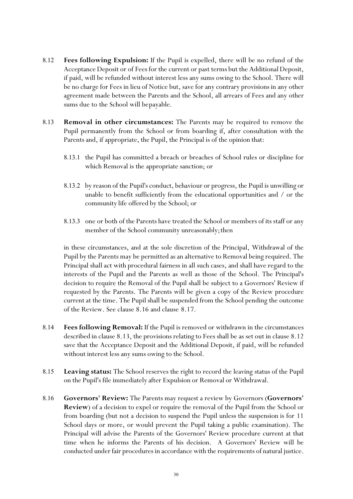- 8.12 **Fees following Expulsion:** If the Pupil is expelled, there will be no refund of the Acceptance Deposit or of Fees for the current or past terms but the Additional Deposit, if paid, will be refunded without interest less any sums owing to the School. There will be no charge for Fees in lieu of Notice but, save for any contrary provisions in any other agreement made between the Parents and the School, all arrears of Fees and any other sums due to the School will bepayable.
- 8.13 **Removal in other circumstances:** The Parents may be required to remove the Pupil permanently from the School or from boarding if, after consultation with the Parents and, if appropriate, the Pupil, the Principal is of the opinion that:
	- 8.13.1 the Pupil has committed a breach or breaches of School rules or discipline for which Removal is the appropriate sanction; or
	- 8.13.2 by reason of the Pupil'sconduct, behaviour or progress, the Pupil is unwilling or unable to benefit sufficiently from the educational opportunities and / or the community life offered by the School; or
	- 8.13.3 one or both of the Parents have treated the School or members of its staff or any member of the School community unreasonably; then

in these circumstances, and at the sole discretion of the Principal, Withdrawal of the Pupil by the Parents may be permitted as an alternative to Removal being required. The Principal shall act with procedural fairness in all such cases, and shall have regard to the interests of the Pupil and the Parents as well as those of the School. The Principal's decision to require the Removal of the Pupil shall be subject to a Governors' Review if requested by the Parents. The Parents will be given a copy of the Review procedure current at the time. The Pupil shall be suspended from the School pending the outcome of the Review. See clause 8.16 and clause 8.17.

- 8.14 **Fees following Removal:** If the Pupil is removed or withdrawn in the circumstances described in clause 8.13, the provisions relating to Fees shall be as set out in clause 8.12 save that the Acceptance Deposit and the Additional Deposit, if paid, will be refunded without interest less any sums owing to the School.
- 8.15 **Leaving status:** The School reserves the right to record the leaving status of the Pupil on the Pupil's file immediately after Expulsion or Removal or Withdrawal.
- 8.16 **Governors' Review:** The Parents may request a review by Governors (**Governors' Review**) of a decision to expel or require the removal of the Pupil from the School or from boarding (but not a decision to suspend the Pupil unless the suspension is for 11 School days or more, or would prevent the Pupil taking a public examination). The Principal will advise the Parents of the Governors' Review procedure current at that time when he informs the Parents of his decision. A Governors' Review will be conducted under fair procedures in accordance with the requirements of natural justice.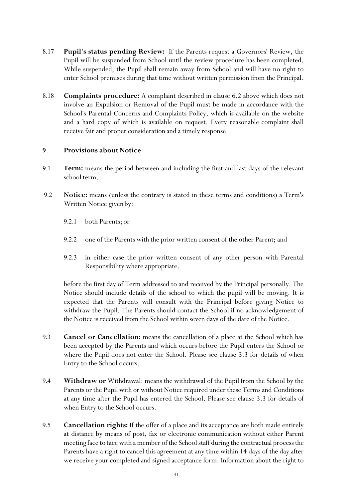- 8.17 **Pupil's status pending Review:** If the Parents request a Governors' Review, the Pupil will be suspended from School until the review procedure has been completed. While suspended, the Pupil shall remain away from School and will have no right to enter School premises during that time without written permission from the Principal.
- 8.18 **Complaints procedure:** A complaint described in clause 6.2 above which does not involve an Expulsion or Removal of the Pupil must be made in accordance with the School's Parental Concerns and Complaints Policy, which is available on the website and a hard copy of which is available on request. Every reasonable complaint shall receive fair and proper consideration and a timely response.

#### **9** Provisions about Notice

- 9.1 **Term:** means the period between and including the first and last days of the relevant school term.
- 9.2 **Notice:** means (unless the contrary is stated in these terms and conditions) a Term's Written Notice given by:
	- 9.2.1 both Parents; or
	- 9.2.2 one of the Parents with the prior written consent of the other Parent; and
	- 9.2.3 in either case the prior written consent of any other person with Parental Responsibility where appropriate.

before the first day of Term addressed to and received by the Principal personally. The Notice should include details of the school to which the pupil will be moving. It is expected that the Parents will consult with the Principal before giving Notice to withdraw the Pupil. The Parents should contact the School if no acknowledgement of the Notice is received from the School within seven days of the date of the Notice.

- 9.3 **Cancel or Cancellation:** means the cancellation of a place at the School which has been accepted by the Parents and which occurs before the Pupil enters the School or where the Pupil does not enter the School. Please see clause 3.3 for details of when Entry to the School occurs.
- 9.4 **Withdraw or** Withdrawal: means the withdrawal of the Pupil from the School by the Parents or the Pupil with or without Notice required under these Terms and Conditions at any time after the Pupil has entered the School. Please see clause 3.3 for details of when Entry to the School occurs.
- 9.5 **Cancellation rights:** If the offer of a place and its acceptance are both made entirely at distance by means of post, fax or electronic communication without either Parent meeting face to face with a member of the School staff during the contractual process the Parents have a right to cancel this agreement at any time within 14 days of the day after we receive your completed and signed acceptance form. Information about the right to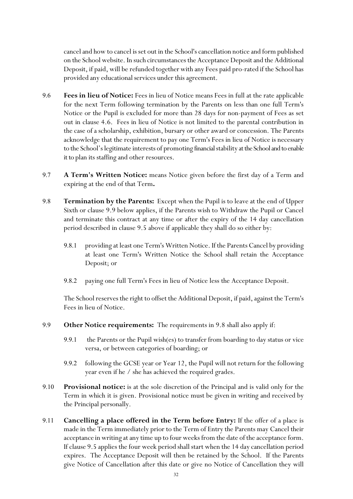cancel and how to cancel is set out in the School's cancellation notice and form published on the School website. In such circumstances the Acceptance Deposit and the Additional Deposit, if paid, will be refunded together with any Fees paid pro-rated if the School has provided any educational services under this agreement.

- 9.6 **Fees in lieu of Notice:** Fees in lieu of Notice means Fees in full at the rate applicable for the next Term following termination by the Parents on less than one full Term's Notice or the Pupil is excluded for more than 28 days for non-payment of Fees as set out in clause 4.6. Fees in lieu of Notice is not limited to the parental contribution in the case of a scholarship, exhibition, bursary or other award or concession. The Parents acknowledge that the requirement to pay one Term's Fees in lieu of Notice is necessary to the School's legitimate interests of promoting financial stability at the School and to enable it to plan its staffing and other resources.
- 9.7 **A Term's Written Notice:** means Notice given before the first day of a Term and expiring at the end of that Term**.**
- 9.8 **Termination by the Parents:** Except when the Pupil is to leave at the end of Upper Sixth or clause 9.9 below applies, if the Parents wish to Withdraw the Pupil or Cancel and terminate this contract at any time or after the expiry of the 14 day cancellation period described in clause 9.5 above if applicable they shall do so either by:
	- 9.8.1 providing at least one Term's Written Notice. If the Parents Cancel by providing at least one Term's Written Notice the School shall retain the Acceptance Deposit; or
	- 9.8.2 paying one full Term's Fees in lieu of Notice less the Acceptance Deposit.

The School reserves the right to offset the Additional Deposit, if paid, against the Term's Fees in lieu of Notice.

- 9.9 **Other Notice requirements:** The requirements in 9.8 shall also apply if:
	- 9.9.1 the Parents or the Pupil wish(es) to transfer from boarding to day status or vice versa, or between categories of boarding; or
	- 9.9.2 following the GCSE year or Year 12, the Pupil will not return for the following year even if he / she has achieved the required grades.
- 9.10 **Provisional notice:** is at the sole discretion of the Principal and is valid only for the Term in which it is given. Provisional notice must be given in writing and received by the Principal personally.
- 9.11 **Cancelling a place offered in the Term before Entry:** If the offer of a place is made in the Term immediately prior to the Term of Entry the Parents may Cancel their acceptance in writing at any time up to four weeks from the date of the acceptance form. If clause 9.5 applies the four week period shall start when the 14 day cancellation period expires. The Acceptance Deposit will then be retained by the School. If the Parents give Notice of Cancellation after this date or give no Notice of Cancellation they will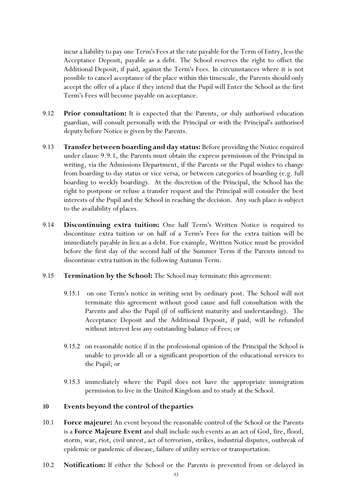incur a liability to pay one Term's Fees at the rate payable for the Term of Entry, less the Acceptance Deposit, payable as a debt. The School reserves the right to offset the Additional Deposit, if paid, against the Term's Fees. In circumstances where it is not possible to cancel acceptance of the place within this timescale, the Parents should only accept the offer of a place if they intend that the Pupil will Enter the School as the first Term's Fees will become payable on acceptance.

- 9.12 **Prior consultation:** It is expected that the Parents, or duly authorised education guardian, will consult personally with the Principal or with the Principal's authorised deputy before Notice is given by the Parents.
- 9.13 **Transfer between boarding and day status:** Before providing the Notice required under clause 9.9.1, the Parents must obtain the express permission of the Principal in writing, via the Admissions Department, if the Parents or the Pupil wishes to change from boarding to day status or vice versa, or between categories of boarding (e.g. full boarding to weekly boarding). At the discretion of the Principal, the School has the right to postpone or refuse a transfer request and the Principal will consider the best interests of the Pupil and the School in reaching the decision. Any such place is subject to the availability of places.
- 9.14 **Discontinuing extra tuition:** One half Term's Written Notice is required to discontinue extra tuition or on half of a Term's Fees for the extra tuition will be immediately payable in lieu as a debt. For example, Written Notice must be provided before the first day of the second half of the Summer Term if the Parents intend to discontinue extra tuition in the following Autumn Term.
- 9.15 **Termination by the School:** The School may terminate this agreement:
	- 9.15.1 on one Term's notice in writing sent by ordinary post. The School will not terminate this agreement without good cause and full consultation with the Parents and also the Pupil (if of sufficient maturity and understanding). The Acceptance Deposit and the Additional Deposit, if paid, will be refunded without interest less any outstanding balance of Fees; or
	- 9.15.2 on reasonable notice if in the professional opinion of the Principal the School is unable to provide all or a significant proportion of the educational services to the Pupil; or
	- 9.15.3 immediately where the Pupil does not have the appropriate immigration permission to live in the United Kingdom and to study at the School.

#### **10 Events beyond the control of theparties**

- 10.1 **Force majeure:** An event beyond the reasonable control of the School or the Parents is a **Force Majeure Event** and shall include such events as an act of God, fire, flood, storm, war, riot, civil unrest, act of terrorism, strikes, industrial disputes, outbreak of epidemic or pandemic of disease, failure of utility service or transportation.
- 10.2 **Notification:** If either the School or the Parents is prevented from or delayed in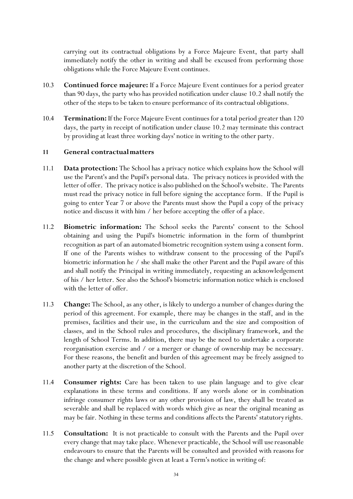carrying out its contractual obligations by a Force Majeure Event, that party shall immediately notify the other in writing and shall be excused from performing those obligations while the Force Majeure Event continues.

- 10.3 **Continued force majeure:** If a Force Majeure Event continues for a period greater than 90 days, the party who has provided notification under clause 10.2 shall notify the other of the steps to be taken to ensure performance of its contractual obligations.
- 10.4 **Termination:** If the Force Majeure Event continues for a total period greater than 120 days, the party in receipt of notification under clause 10.2 may terminate this contract by providing at least three working days' notice in writing to the other party.

#### **11 General contractualmatters**

- 11.1 **Data protection:** The School has a privacy notice which explains how the School will use the Parent's and the Pupil's personal data. The privacy notices is provided with the letter of offer. The privacy notice is also published on the School's website. The Parents must read the privacy notice in full before signing the acceptance form. If the Pupil is going to enter Year 7 or above the Parents must show the Pupil a copy of the privacy notice and discuss it with him / her before accepting the offer of a place.
- 11.2 **Biometric information:** The School seeks the Parents' consent to the School obtaining and using the Pupil's biometric information in the form of thumbprint recognition as part of an automated biometric recognition system using a consent form. If one of the Parents wishes to withdraw consent to the processing of the Pupil's biometric information he / she shall make the other Parent and the Pupil aware of this and shall notify the Principal in writing immediately, requesting an acknowledgement of his / her letter. See also the School's biometricinformation notice which is enclosed with the letter of offer.
- 11.3 **Change:** The School, as any other, is likely to undergo a number of changes during the period of this agreement. For example, there may be changes in the staff, and in the premises, facilities and their use, in the curriculum and the size and composition of classes, and in the School rules and procedures, the disciplinary framework, and the length of School Terms. In addition, there may be the need to undertake a corporate reorganisation exercise and / or a merger or change of ownership may be necessary. For these reasons, the benefit and burden of this agreement may be freely assigned to another party at the discretion of the School.
- 11.4 **Consumer rights:** Care has been taken to use plain language and to give clear explanations in these terms and conditions. If any words alone or in combination infringe consumer rights laws or any other provision of law, they shall be treated as severable and shall be replaced with words which give as near the original meaning as may be fair. Nothing in these terms and conditions affects the Parents' statutory rights.
- 11.5 **Consultation:** It is not practicable to consult with the Parents and the Pupil over every change that may take place. Whenever practicable, the School will use reasonable endeavours to ensure that the Parents will be consulted and provided with reasons for the change and where possible given at least a Term's notice in writing of: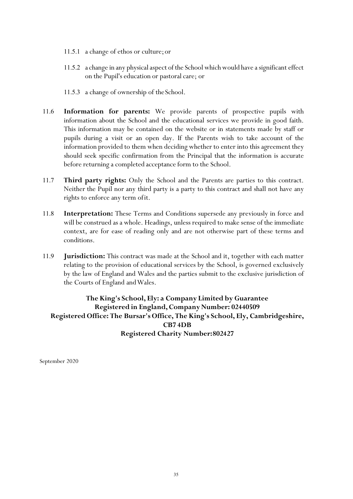- 11.5.1 a change of ethos or culture;or
- 11.5.2 a change in any physical aspect of the School which would have a significant effect on the Pupil's education or pastoral care; or
- 11.5.3 a change of ownership of theSchool.
- 11.6 **Information for parents:** We provide parents of prospective pupils with information about the School and the educational services we provide in good faith. This information may be contained on the website or in statements made by staff or pupils during a visit or an open day. If the Parents wish to take account of the information provided to them when deciding whether to enter into this agreement they should seek specific confirmation from the Principal that the information is accurate before returning a completed acceptance form to the School.
- 11.7 **Third party rights:** Only the School and the Parents are parties to this contract. Neither the Pupil nor any third party is a party to this contract and shall not have any rights to enforce any term ofit.
- 11.8 **Interpretation:** These Terms and Conditions supersede any previously in force and will be construed as a whole. Headings, unless required to make sense of the immediate context, are for ease of reading only and are not otherwise part of these terms and conditions.
- 11.9 **Jurisdiction:** This contract was made at the School and it, together with each matter relating to the provision of educational services by the School, is governed exclusively by the law of England and Wales and the parties submit to the exclusive jurisdiction of the Courts of England and Wales.

#### **The King's School, Ely: a Company Limited by Guarantee Registered in England, CompanyNumber: 02440509 Registered Office: The Bursar's Office, The King's School, Ely, Cambridgeshire, CB7 4DB Registered Charity Number:802427**

September 2020